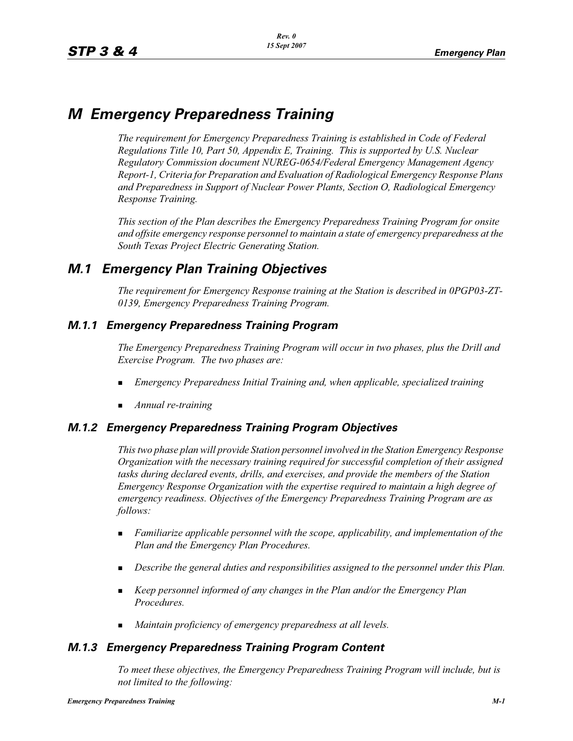# *M Emergency Preparedness Training*

*The requirement for Emergency Preparedness Training is established in Code of Federal Regulations Title 10, Part 50, Appendix E, Training. This is supported by U.S. Nuclear Regulatory Commission document NUREG-0654/Federal Emergency Management Agency Report-1, Criteria for Preparation and Evaluation of Radiological Emergency Response Plans and Preparedness in Support of Nuclear Power Plants, Section O, Radiological Emergency Response Training.*

*This section of the Plan describes the Emergency Preparedness Training Program for onsite and offsite emergency response personnel to maintain a state of emergency preparedness at the South Texas Project Electric Generating Station.*

## *M.1 Emergency Plan Training Objectives*

*The requirement for Emergency Response training at the Station is described in 0PGP03-ZT-0139, Emergency Preparedness Training Program.*

### *M.1.1 Emergency Preparedness Training Program*

*The Emergency Preparedness Training Program will occur in two phases, plus the Drill and Exercise Program. The two phases are:*

- -*Emergency Preparedness Initial Training and, when applicable, specialized training*
- -*Annual re-training*

### *M.1.2 Emergency Preparedness Training Program Objectives*

*This two phase plan will provide Station personnel involved in the Station Emergency Response Organization with the necessary training required for successful completion of their assigned tasks during declared events, drills, and exercises, and provide the members of the Station Emergency Response Organization with the expertise required to maintain a high degree of emergency readiness. Objectives of the Emergency Preparedness Training Program are as follows:*

- - *Familiarize applicable personnel with the scope, applicability, and implementation of the Plan and the Emergency Plan Procedures.*
- **Describe the general duties and responsibilities assigned to the personnel under this Plan.**
- **Example 2** *Keep personnel informed of any changes in the Plan and/or the Emergency Plan Procedures.*
- -*Maintain proficiency of emergency preparedness at all levels.*

### *M.1.3 Emergency Preparedness Training Program Content*

*To meet these objectives, the Emergency Preparedness Training Program will include, but is not limited to the following:*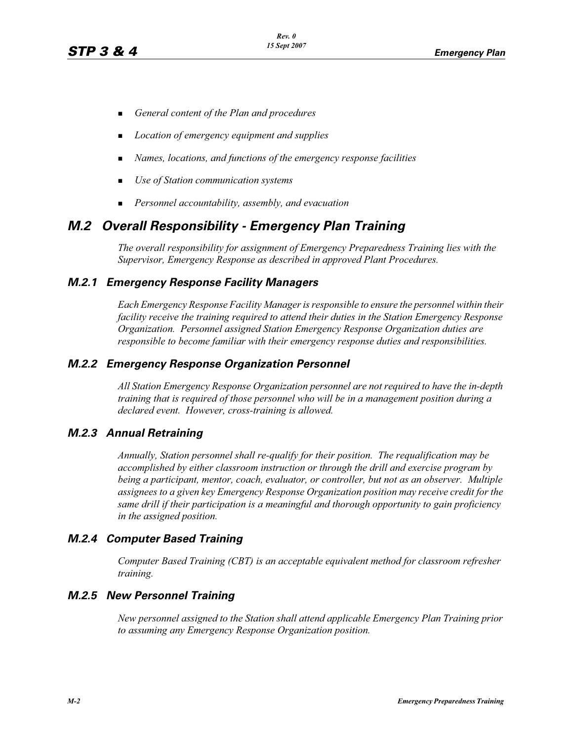- -*General content of the Plan and procedures*
- -*Location of emergency equipment and supplies*
- -*Names, locations, and functions of the emergency response facilities*
- -*Use of Station communication systems*
- -*Personnel accountability, assembly, and evacuation*

## *M.2 Overall Responsibility - Emergency Plan Training*

*The overall responsibility for assignment of Emergency Preparedness Training lies with the Supervisor, Emergency Response as described in approved Plant Procedures.*

#### *M.2.1 Emergency Response Facility Managers*

*Each Emergency Response Facility Manager is responsible to ensure the personnel within their facility receive the training required to attend their duties in the Station Emergency Response Organization. Personnel assigned Station Emergency Response Organization duties are responsible to become familiar with their emergency response duties and responsibilities.*

#### *M.2.2 Emergency Response Organization Personnel*

*All Station Emergency Response Organization personnel are not required to have the in-depth training that is required of those personnel who will be in a management position during a declared event. However, cross-training is allowed.*

#### *M.2.3 Annual Retraining*

*Annually, Station personnel shall re-qualify for their position. The requalification may be accomplished by either classroom instruction or through the drill and exercise program by being a participant, mentor, coach, evaluator, or controller, but not as an observer. Multiple assignees to a given key Emergency Response Organization position may receive credit for the same drill if their participation is a meaningful and thorough opportunity to gain proficiency in the assigned position.*

#### *M.2.4 Computer Based Training*

*Computer Based Training (CBT) is an acceptable equivalent method for classroom refresher training.*

#### *M.2.5 New Personnel Training*

*New personnel assigned to the Station shall attend applicable Emergency Plan Training prior to assuming any Emergency Response Organization position.*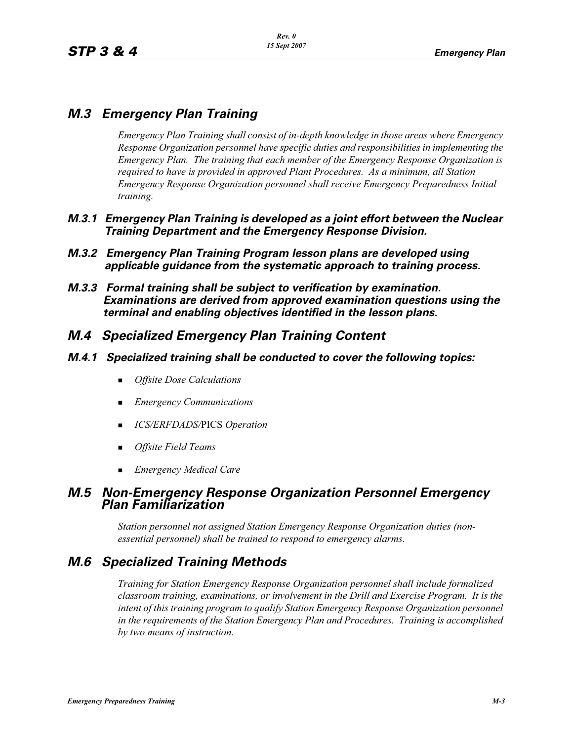## *M.3 Emergency Plan Training*

*Emergency Plan Training shall consist of in-depth knowledge in those areas where Emergency Response Organization personnel have specific duties and responsibilities in implementing the Emergency Plan. The training that each member of the Emergency Response Organization is required to have is provided in approved Plant Procedures. As a minimum, all Station Emergency Response Organization personnel shall receive Emergency Preparedness Initial training.*

- *M.3.1 Emergency Plan Training is developed as a joint effort between the Nuclear Training Department and the Emergency Response Division.*
- *M.3.2 Emergency Plan Training Program lesson plans are developed using applicable guidance from the systematic approach to training process.*
- *M.3.3 Formal training shall be subject to verification by examination. Examinations are derived from approved examination questions using the terminal and enabling objectives identified in the lesson plans.*

### *M.4 Specialized Emergency Plan Training Content*

- *M.4.1 Specialized training shall be conducted to cover the following topics:*
	- -*Offsite Dose Calculations*
	- *Emergency Communications*
	- *ICS/ERFDADS/*PICS *Operation*
	- -*Offsite Field Teams*
	- -*Emergency Medical Care*

### *M.5 Non-Emergency Response Organization Personnel Emergency Plan Familiarization*

*Station personnel not assigned Station Emergency Response Organization duties (nonessential personnel) shall be trained to respond to emergency alarms.*

## *M.6 Specialized Training Methods*

*Training for Station Emergency Response Organization personnel shall include formalized classroom training, examinations, or involvement in the Drill and Exercise Program. It is the intent of this training program to qualify Station Emergency Response Organization personnel in the requirements of the Station Emergency Plan and Procedures. Training is accomplished by two means of instruction.*